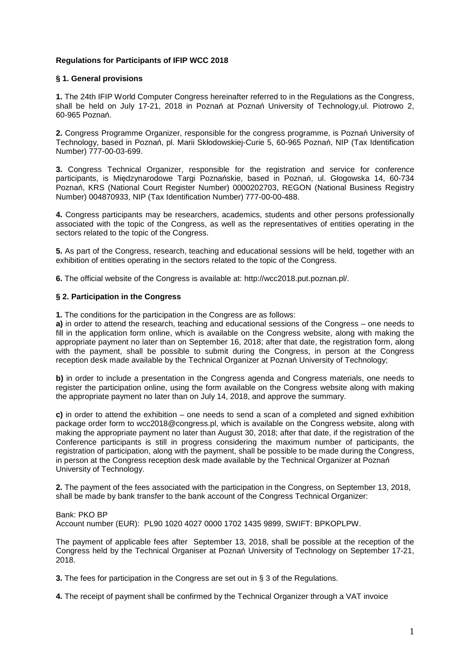# **Regulations for Participants of IFIP WCC 2018**

### **§ 1. General provisions**

**1.** The 24th IFIP World Computer Congress hereinafter referred to in the Regulations as the Congress, shall be held on July 17-21, 2018 in Poznań at Poznań University of Technology,ul. Piotrowo 2, 60-965 Poznań.

**2.** Congress Programme Organizer, responsible for the congress programme, is Poznań University of Technology, based in Poznań, pl. Marii Skłodowskiej-Curie 5, 60-965 Poznań, NIP (Tax Identification Number) 777-00-03-699.

**3.** Congress Technical Organizer, responsible for the registration and service for conference participants, is Międzynarodowe Targi Poznańskie, based in Poznań, ul. Głogowska 14, 60-734 Poznań, KRS (National Court Register Number) 0000202703, REGON (National Business Registry Number) 004870933, NIP (Tax Identification Number) 777-00-00-488.

**4.** Congress participants may be researchers, academics, students and other persons professionally associated with the topic of the Congress, as well as the representatives of entities operating in the sectors related to the topic of the Congress.

**5.** As part of the Congress, research, teaching and educational sessions will be held, together with an exhibition of entities operating in the sectors related to the topic of the Congress.

**6.** The official website of the Congress is available at: http://wcc2018.put.poznan.pl/.

### **§ 2. Participation in the Congress**

**1.** The conditions for the participation in the Congress are as follows:

**a)** in order to attend the research, teaching and educational sessions of the Congress – one needs to fill in the application form online, which is available on the Congress website, along with making the appropriate payment no later than on September 16, 2018; after that date, the registration form, along with the payment, shall be possible to submit during the Congress, in person at the Congress reception desk made available by the Technical Organizer at Poznań University of Technology;

**b)** in order to include a presentation in the Congress agenda and Congress materials, one needs to register the participation online, using the form available on the Congress website along with making the appropriate payment no later than on July 14, 2018, and approve the summary.

**c)** in order to attend the exhibition – one needs to send a scan of a completed and signed exhibition package order form to wcc2018@congress.pl, which is available on the Congress website, along with making the appropriate payment no later than August 30, 2018; after that date, if the registration of the Conference participants is still in progress considering the maximum number of participants, the registration of participation, along with the payment, shall be possible to be made during the Congress, in person at the Congress reception desk made available by the Technical Organizer at Poznań University of Technology.

**2.** The payment of the fees associated with the participation in the Congress, on September 13, 2018, shall be made by bank transfer to the bank account of the Congress Technical Organizer:

Bank: PKO BP

Account number (EUR): PL90 1020 4027 0000 1702 1435 9899, SWIFT: BPKOPLPW.

The payment of applicable fees after September 13, 2018, shall be possible at the reception of the Congress held by the Technical Organiser at Poznań University of Technology on September 17-21, 2018.

**3.** The fees for participation in the Congress are set out in § 3 of the Regulations.

**4.** The receipt of payment shall be confirmed by the Technical Organizer through a VAT invoice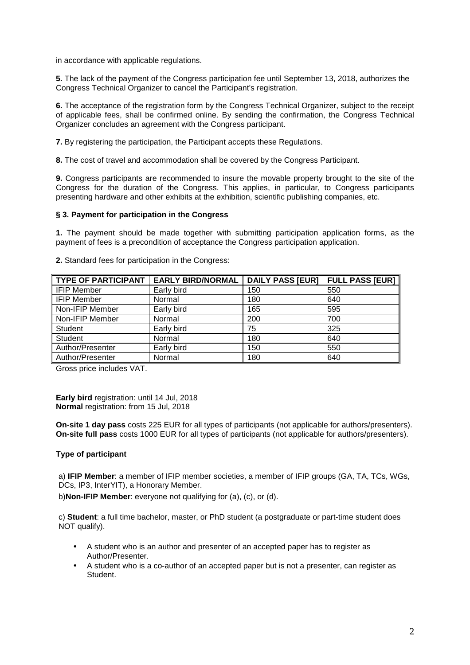in accordance with applicable regulations.

**5.** The lack of the payment of the Congress participation fee until September 13, 2018, authorizes the Congress Technical Organizer to cancel the Participant's registration.

**6.** The acceptance of the registration form by the Congress Technical Organizer, subject to the receipt of applicable fees, shall be confirmed online. By sending the confirmation, the Congress Technical Organizer concludes an agreement with the Congress participant.

**7.** By registering the participation, the Participant accepts these Regulations.

**8.** The cost of travel and accommodation shall be covered by the Congress Participant.

**9.** Congress participants are recommended to insure the movable property brought to the site of the Congress for the duration of the Congress. This applies, in particular, to Congress participants presenting hardware and other exhibits at the exhibition, scientific publishing companies, etc.

### **§ 3. Payment for participation in the Congress**

**1.** The payment should be made together with submitting participation application forms, as the payment of fees is a precondition of acceptance the Congress participation application.

| <b>TYPE OF PARTICIPANT</b> | <b>EARLY BIRD/NORMAL</b> | <b>DAILY PASS [EUR]</b> | <b>FULL PASS [EUR]</b> |
|----------------------------|--------------------------|-------------------------|------------------------|
| <b>IFIP Member</b>         | Early bird               | 150                     | 550                    |
| <b>IFIP Member</b>         | Normal                   | 180                     | 640                    |
| Non-IFIP Member            | Early bird               | 165                     | 595                    |
| Non-IFIP Member            | Normal                   | 200                     | 700                    |
| <b>Student</b>             | Early bird               | 75                      | 325                    |
| Student                    | Normal                   | 180                     | 640                    |
| Author/Presenter           | Early bird               | 150                     | 550                    |
| Author/Presenter           | Normal                   | 180                     | 640                    |

**2.** Standard fees for participation in the Congress:

Gross price includes VAT.

**Early bird** registration: until 14 Jul, 2018 **Normal** registration: from 15 Jul, 2018

**On-site 1 day pass** costs 225 EUR for all types of participants (not applicable for authors/presenters). **On-site full pass** costs 1000 EUR for all types of participants (not applicable for authors/presenters).

# **Type of participant**

a) **IFIP Member**: a member of IFIP member societies, a member of IFIP groups (GA, TA, TCs, WGs, DCs, IP3, InterYIT), a Honorary Member.

b)**Non-IFIP Member**: everyone not qualifying for (a), (c), or (d).

c) **Student**: a full time bachelor, master, or PhD student (a postgraduate or part-time student does NOT qualify).

- A student who is an author and presenter of an accepted paper has to register as Author/Presenter.
- A student who is a co-author of an accepted paper but is not a presenter, can register as Student.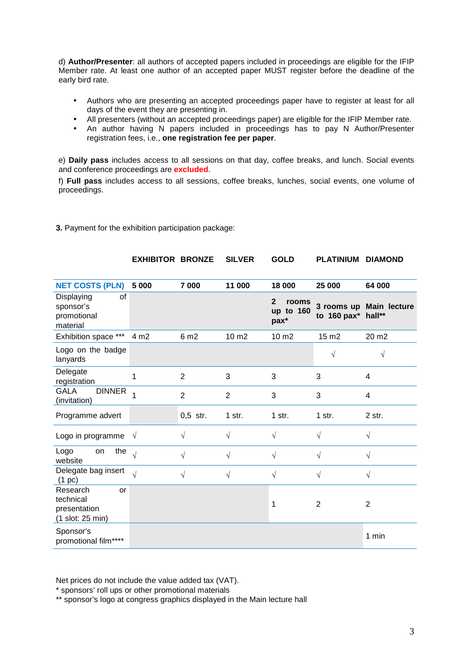d) **Author/Presenter**: all authors of accepted papers included in proceedings are eligible for the IFIP Member rate. At least one author of an accepted paper MUST register before the deadline of the early bird rate.

- Authors who are presenting an accepted proceedings paper have to register at least for all days of the event they are presenting in.
- All presenters (without an accepted proceedings paper) are eligible for the IFIP Member rate.
- An author having N papers included in proceedings has to pay N Author/Presenter registration fees, i.e., **one registration fee per paper**.

e) **Daily pass** includes access to all sessions on that day, coffee breaks, and lunch. Social events and conference proceedings are **excluded**.

f) **Full pass** includes access to all sessions, coffee breaks, lunches, social events, one volume of proceedings.

|                                                                 | <b>EXHIBITOR BRONZE</b> |                  | <b>SILVER</b>  | <b>GOLD</b>                                | <b>PLATINIUM</b>   | <b>DIAMOND</b>          |
|-----------------------------------------------------------------|-------------------------|------------------|----------------|--------------------------------------------|--------------------|-------------------------|
| <b>NET COSTS (PLN)</b>                                          | 5 000                   | 7 000            | 11 000         | 18 000                                     | 25 000             | 64 000                  |
| Displaying<br>οf<br>sponsor's<br>promotional<br>material        |                         |                  |                | $\mathbf{2}$<br>rooms<br>up to 160<br>pax* | to 160 pax* hall** | 3 rooms up Main lecture |
| Exhibition space ***                                            | 4 m <sub>2</sub>        | 6 m <sub>2</sub> | 10 m2          | 10 m2                                      | 15 m2              | 20 m <sub>2</sub>       |
| Logo on the badge<br>lanyards                                   |                         |                  |                |                                            | $\sqrt{}$          | V                       |
| Delegate<br>registration                                        | 1                       | $\overline{2}$   | 3              | 3                                          | 3                  | 4                       |
| <b>GALA</b><br><b>DINNER</b><br>(invitation)                    |                         | $\overline{2}$   | $\overline{2}$ | 3                                          | 3                  | 4                       |
| Programme advert                                                |                         | $0,5$ str.       | 1 str.         | 1 str.                                     | 1 str.             | 2 str.                  |
| Logo in programme $\sqrt{ }$                                    |                         | $\sqrt{}$        | $\sqrt{}$      | $\sqrt{}$                                  | $\sqrt{}$          | $\sqrt{}$               |
| the<br>Logo<br>on<br>website                                    | $\sqrt{ }$              | $\sqrt{}$        | $\sqrt{}$      | $\sqrt{ }$                                 | $\sqrt{ }$         | $\sqrt{}$               |
| Delegate bag insert<br>(1~pc)                                   | $\sqrt{ }$              | $\sqrt{}$        | $\sqrt{}$      | $\sqrt{}$                                  | $\sqrt{}$          | $\sqrt{}$               |
| Research<br>or<br>technical<br>presentation<br>(1 slot: 25 min) |                         |                  |                | 1                                          | $\overline{2}$     | $\overline{2}$          |
| Sponsor's<br>promotional film****                               |                         |                  |                |                                            |                    | 1 min                   |

**3.** Payment for the exhibition participation package:

Net prices do not include the value added tax (VAT).

\* sponsors' roll ups or other promotional materials

\*\* sponsor's logo at congress graphics displayed in the Main lecture hall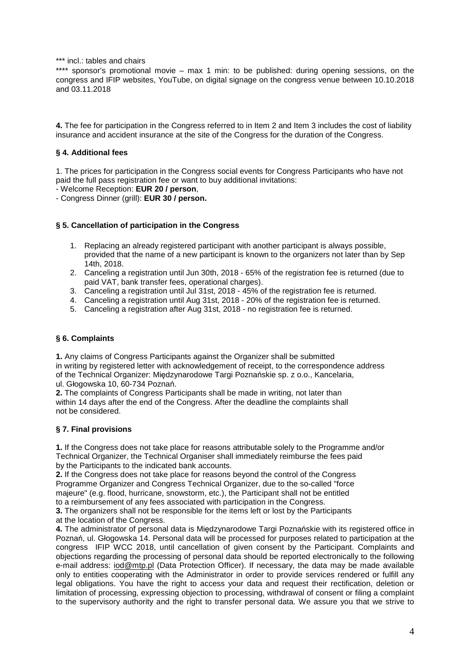\*\*\* incl.: tables and chairs

\*\*\*\* sponsor's promotional movie – max 1 min: to be published: during opening sessions, on the congress and IFIP websites, YouTube, on digital signage on the congress venue between 10.10.2018 and 03.11.2018

**4.** The fee for participation in the Congress referred to in Item 2 and Item 3 includes the cost of liability insurance and accident insurance at the site of the Congress for the duration of the Congress.

# **§ 4. Additional fees**

1. The prices for participation in the Congress social events for Congress Participants who have not paid the full pass registration fee or want to buy additional invitations:

- Welcome Reception: **EUR 20 / person**,

- Congress Dinner (grill): **EUR 30 / person.** 

# **§ 5. Cancellation of participation in the Congress**

- 1. Replacing an already registered participant with another participant is always possible, provided that the name of a new participant is known to the organizers not later than by Sep 14th, 2018.
- 2. Canceling a registration until Jun 30th, 2018 65% of the registration fee is returned (due to paid VAT, bank transfer fees, operational charges).
- 3. Canceling a registration until Jul 31st, 2018 45% of the registration fee is returned.
- 4. Canceling a registration until Aug 31st, 2018 20% of the registration fee is returned.
- 5. Canceling a registration after Aug 31st, 2018 no registration fee is returned.

# **§ 6. Complaints**

**1.** Any claims of Congress Participants against the Organizer shall be submitted in writing by registered letter with acknowledgement of receipt, to the correspondence address of the Technical Organizer: Międzynarodowe Targi Poznańskie sp. z o.o., Kancelaria, ul. Głogowska 10, 60-734 Poznań.

**2.** The complaints of Congress Participants shall be made in writing, not later than within 14 days after the end of the Congress. After the deadline the complaints shall not be considered.

# **§ 7. Final provisions**

**1.** If the Congress does not take place for reasons attributable solely to the Programme and/or Technical Organizer, the Technical Organiser shall immediately reimburse the fees paid by the Participants to the indicated bank accounts.

**2.** If the Congress does not take place for reasons beyond the control of the Congress Programme Organizer and Congress Technical Organizer, due to the so-called "force majeure" (e.g. flood, hurricane, snowstorm, etc.), the Participant shall not be entitled to a reimbursement of any fees associated with participation in the Congress.

**3.** The organizers shall not be responsible for the items left or lost by the Participants at the location of the Congress.

**4.** The administrator of personal data is Międzynarodowe Targi Poznańskie with its registered office in Poznań, ul. Głogowska 14. Personal data will be processed for purposes related to participation at the congress IFIP WCC 2018, until cancellation of given consent by the Participant. Complaints and objections regarding the processing of personal data should be reported electronically to the following e-mail address: iod@mtp.pl (Data Protection Officer). If necessary, the data may be made available only to entities cooperating with the Administrator in order to provide services rendered or fulfill any legal obligations. You have the right to access your data and request their rectification, deletion or limitation of processing, expressing objection to processing, withdrawal of consent or filing a complaint to the supervisory authority and the right to transfer personal data. We assure you that we strive to